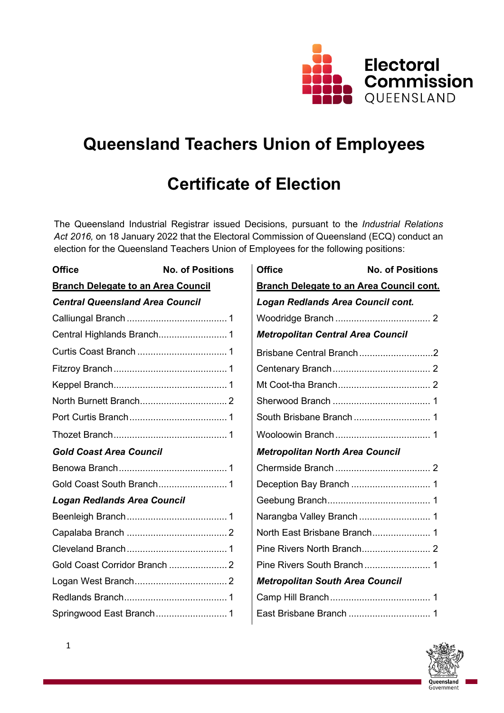

# **Queensland Teachers Union of Employees**

# **Certificate of Election**

The Queensland Industrial Registrar issued Decisions, pursuant to the *Industrial Relations Act 2016,* on 18 January 2022 that the Electoral Commission of Queensland (ECQ) conduct an election for the Queensland Teachers Union of Employees for the following positions:

| <b>Office</b>                             | <b>No. of Positions</b> | <b>Office</b>                                   | <b>No. of Positions</b>  |  |
|-------------------------------------------|-------------------------|-------------------------------------------------|--------------------------|--|
| <b>Branch Delegate to an Area Council</b> |                         | <b>Branch Delegate to an Area Council cont.</b> |                          |  |
| <b>Central Queensland Area Council</b>    |                         | Logan Redlands Area Council cont.               |                          |  |
|                                           |                         |                                                 |                          |  |
|                                           |                         | <b>Metropolitan Central Area Council</b>        |                          |  |
|                                           |                         |                                                 | Brisbane Central Branch2 |  |
|                                           |                         |                                                 |                          |  |
|                                           |                         |                                                 |                          |  |
|                                           |                         |                                                 |                          |  |
|                                           |                         |                                                 |                          |  |
|                                           |                         |                                                 |                          |  |
| <b>Gold Coast Area Council</b>            |                         | <b>Metropolitan North Area Council</b>          |                          |  |
|                                           |                         |                                                 |                          |  |
|                                           |                         |                                                 |                          |  |
| <b>Logan Redlands Area Council</b>        |                         |                                                 |                          |  |
|                                           |                         |                                                 |                          |  |
|                                           |                         |                                                 |                          |  |
|                                           |                         |                                                 |                          |  |
|                                           |                         |                                                 |                          |  |
|                                           |                         | <b>Metropolitan South Area Council</b>          |                          |  |
|                                           |                         |                                                 |                          |  |
|                                           |                         |                                                 |                          |  |

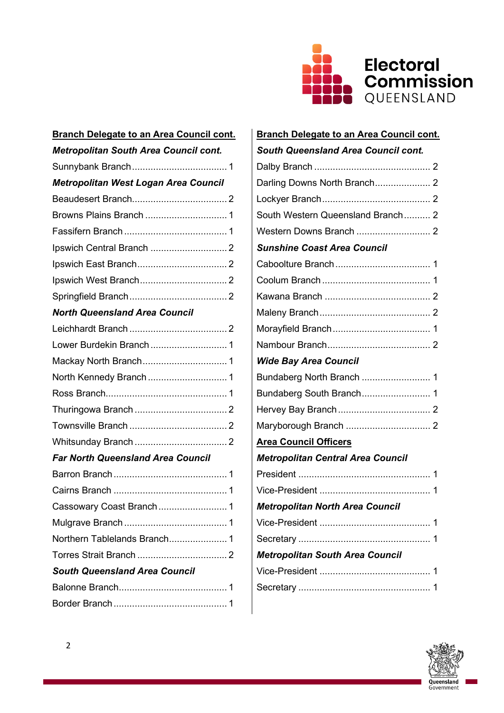

| <b>Branch Delegate to an Area Council cont.</b> | <b>Branch Delegate to an Area Council cont.</b> |  |  |
|-------------------------------------------------|-------------------------------------------------|--|--|
| <b>Metropolitan South Area Council cont.</b>    | <b>South Queensland Area Council cont.</b>      |  |  |
|                                                 |                                                 |  |  |
| Metropolitan West Logan Area Council            | Darling Downs North Branch 2                    |  |  |
|                                                 |                                                 |  |  |
|                                                 | South Western Queensland Branch 2               |  |  |
|                                                 |                                                 |  |  |
|                                                 | <b>Sunshine Coast Area Council</b>              |  |  |
|                                                 |                                                 |  |  |
|                                                 |                                                 |  |  |
|                                                 |                                                 |  |  |
| <b>North Queensland Area Council</b>            |                                                 |  |  |
|                                                 |                                                 |  |  |
|                                                 |                                                 |  |  |
|                                                 | <b>Wide Bay Area Council</b>                    |  |  |
|                                                 |                                                 |  |  |
|                                                 |                                                 |  |  |
|                                                 |                                                 |  |  |
|                                                 |                                                 |  |  |
|                                                 | <b>Area Council Officers</b>                    |  |  |
| <b>Far North Queensland Area Council</b>        | <b>Metropolitan Central Area Council</b>        |  |  |
|                                                 |                                                 |  |  |
|                                                 |                                                 |  |  |
|                                                 | <b>Metropolitan North Area Council</b>          |  |  |
|                                                 |                                                 |  |  |
|                                                 |                                                 |  |  |
|                                                 | <b>Metropolitan South Area Council</b>          |  |  |
| <b>South Queensland Area Council</b>            |                                                 |  |  |
|                                                 |                                                 |  |  |
|                                                 |                                                 |  |  |

| <b>Branch Delegate to an Area Council cont.</b> |
|-------------------------------------------------|
| <b>South Queensland Area Council cont.</b>      |
|                                                 |
| Darling Downs North Branch 2                    |
|                                                 |
| South Western Queensland Branch 2               |
|                                                 |
| <b>Sunshine Coast Area Council</b>              |
|                                                 |
|                                                 |
|                                                 |
|                                                 |
|                                                 |
|                                                 |
| <b>Wide Bay Area Council</b>                    |
| Bundaberg North Branch  1                       |
| Bundaberg South Branch 1                        |
|                                                 |
|                                                 |
| <b>Area Council Officers</b>                    |
| <b>Metropolitan Central Area Council</b>        |
|                                                 |
|                                                 |
| <b>Metropolitan North Area Council</b>          |
|                                                 |
|                                                 |
| <b>Metropolitan South Area Council</b>          |
|                                                 |
|                                                 |

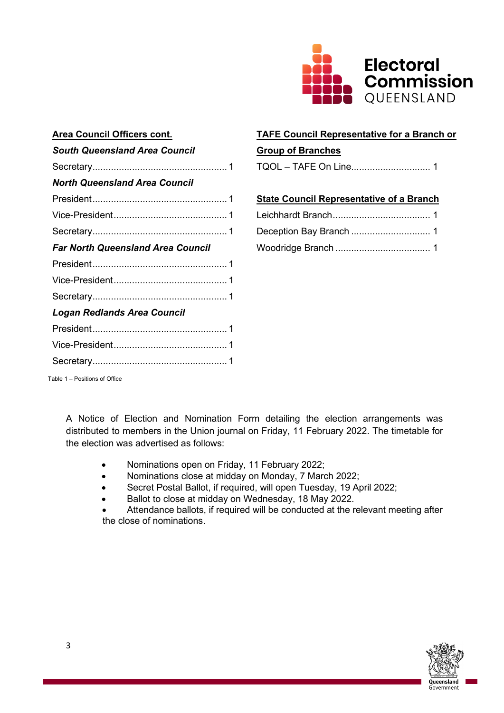

| <b>Area Council Officers cont.</b>       | <b>TAFE Council Representative for a Branc</b>  |
|------------------------------------------|-------------------------------------------------|
| <b>South Queensland Area Council</b>     | <b>Group of Branches</b>                        |
|                                          | TQOL - TAFE On Line 1                           |
| <b>North Queensland Area Council</b>     |                                                 |
|                                          | <b>State Council Representative of a Branch</b> |
|                                          |                                                 |
|                                          |                                                 |
| <b>Far North Queensland Area Council</b> |                                                 |
|                                          |                                                 |
|                                          |                                                 |
|                                          |                                                 |
| <b>Logan Redlands Area Council</b>       |                                                 |
|                                          |                                                 |
|                                          |                                                 |
|                                          |                                                 |

# **TAFE Council Representative for a Branch or**

# *<u>Group of Branches</u>*

| <b>State Council Representative of a Branch</b> |  |
|-------------------------------------------------|--|
|                                                 |  |
|                                                 |  |
|                                                 |  |

Table 1 – Positions of Office

A Notice of Election and Nomination Form detailing the election arrangements was distributed to members in the Union journal on Friday, 11 February 2022. The timetable for the election was advertised as follows:

- Nominations open on Friday, 11 February 2022;
- Nominations close at midday on Monday, 7 March 2022;
- Secret Postal Ballot, if required, will open Tuesday, 19 April 2022;
- Ballot to close at midday on Wednesday, 18 May 2022.
- Attendance ballots, if required will be conducted at the relevant meeting after the close of nominations.

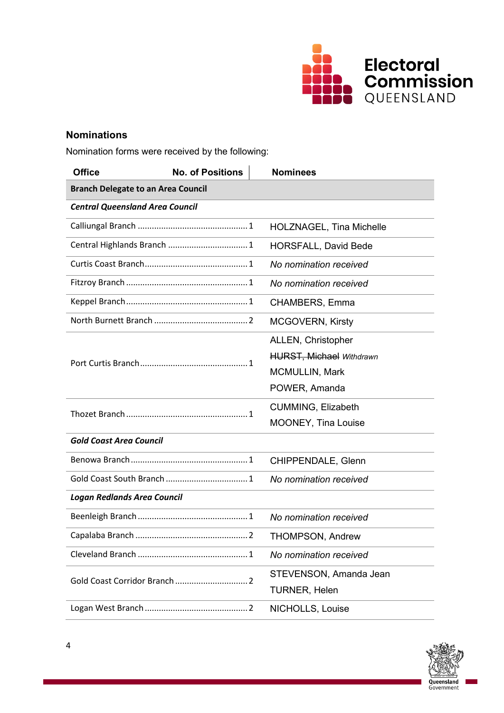

# **Nominations**

Nomination forms were received by the following:

| <b>Office</b>                             | <b>No. of Positions</b>                           | <b>Nominees</b>                 |  |  |
|-------------------------------------------|---------------------------------------------------|---------------------------------|--|--|
| <b>Branch Delegate to an Area Council</b> |                                                   |                                 |  |  |
| <b>Central Queensland Area Council</b>    |                                                   |                                 |  |  |
|                                           |                                                   | <b>HOLZNAGEL, Tina Michelle</b> |  |  |
| Central Highlands Branch  1               |                                                   | <b>HORSFALL, David Bede</b>     |  |  |
|                                           |                                                   | No nomination received          |  |  |
|                                           |                                                   | No nomination received          |  |  |
|                                           | <u> 1980 - Johann Barbara, martxa alemaniar a</u> | CHAMBERS, Emma                  |  |  |
|                                           |                                                   | <b>MCGOVERN, Kirsty</b>         |  |  |
|                                           |                                                   | ALLEN, Christopher              |  |  |
|                                           |                                                   | <b>HURST, Michael Withdrawn</b> |  |  |
|                                           |                                                   | <b>MCMULLIN, Mark</b>           |  |  |
|                                           |                                                   | POWER, Amanda                   |  |  |
|                                           |                                                   | <b>CUMMING, Elizabeth</b>       |  |  |
|                                           |                                                   | MOONEY, Tina Louise             |  |  |
| <b>Gold Coast Area Council</b>            |                                                   |                                 |  |  |
|                                           |                                                   | CHIPPENDALE, Glenn              |  |  |
|                                           |                                                   | No nomination received          |  |  |
| <b>Logan Redlands Area Council</b>        |                                                   |                                 |  |  |
|                                           |                                                   | No nomination received          |  |  |
|                                           |                                                   | <b>THOMPSON, Andrew</b>         |  |  |
|                                           |                                                   | No nomination received          |  |  |
|                                           |                                                   | STEVENSON, Amanda Jean          |  |  |
|                                           |                                                   | <b>TURNER, Helen</b>            |  |  |
|                                           |                                                   | NICHOLLS, Louise                |  |  |

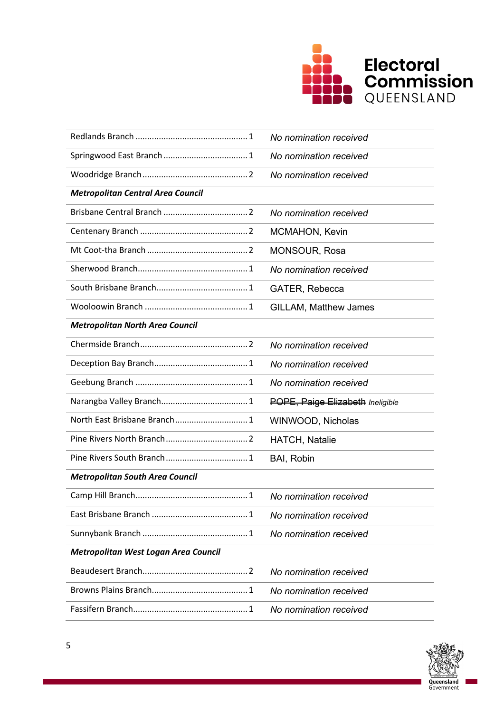

|                                          | No nomination received           |
|------------------------------------------|----------------------------------|
|                                          | No nomination received           |
|                                          | No nomination received           |
| <b>Metropolitan Central Area Council</b> |                                  |
|                                          | No nomination received           |
|                                          | <b>MCMAHON, Kevin</b>            |
|                                          | MONSOUR, Rosa                    |
|                                          | No nomination received           |
|                                          | GATER, Rebecca                   |
|                                          | <b>GILLAM, Matthew James</b>     |
| <b>Metropolitan North Area Council</b>   |                                  |
|                                          | No nomination received           |
|                                          | No nomination received           |
|                                          | No nomination received           |
|                                          | POPE, Paige Elizabeth Ineligible |
|                                          | WINWOOD, Nicholas                |
|                                          | <b>HATCH, Natalie</b>            |
|                                          | BAI, Robin                       |
| <b>Metropolitan South Area Council</b>   |                                  |
|                                          | No nomination received           |
|                                          | No nomination received           |
|                                          | No nomination received           |
| Metropolitan West Logan Area Council     |                                  |
|                                          | No nomination received           |
|                                          | No nomination received           |
|                                          | No nomination received           |

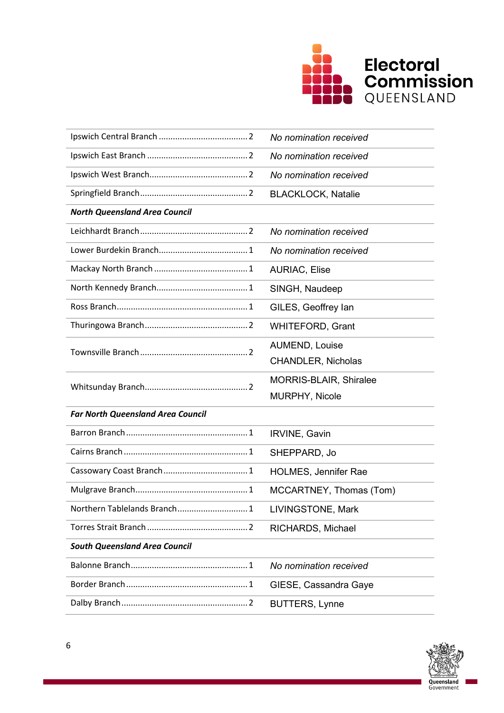

|                                          | No nomination received        |  |
|------------------------------------------|-------------------------------|--|
|                                          | No nomination received        |  |
|                                          | No nomination received        |  |
|                                          | <b>BLACKLOCK, Natalie</b>     |  |
| <b>North Queensland Area Council</b>     |                               |  |
|                                          | No nomination received        |  |
|                                          | No nomination received        |  |
|                                          | <b>AURIAC, Elise</b>          |  |
| <u> 1989 - Johann Barbara, martin a</u>  | SINGH, Naudeep                |  |
|                                          | GILES, Geoffrey lan           |  |
|                                          | <b>WHITEFORD, Grant</b>       |  |
|                                          | AUMEND, Louise                |  |
|                                          | <b>CHANDLER, Nicholas</b>     |  |
|                                          | <b>MORRIS-BLAIR, Shiralee</b> |  |
|                                          | MURPHY, Nicole                |  |
| <b>Far North Queensland Area Council</b> |                               |  |
|                                          | IRVINE, Gavin                 |  |
|                                          | SHEPPARD, Jo                  |  |
|                                          | HOLMES, Jennifer Rae          |  |
|                                          | MCCARTNEY, Thomas (Tom)       |  |
| Northern Tablelands Branch<br>$\cdot$ 1  | LIVINGSTONE, Mark             |  |
|                                          | RICHARDS, Michael             |  |
| <b>South Queensland Area Council</b>     |                               |  |
|                                          | No nomination received        |  |
|                                          | GIESE, Cassandra Gaye         |  |
|                                          | <b>BUTTERS, Lynne</b>         |  |

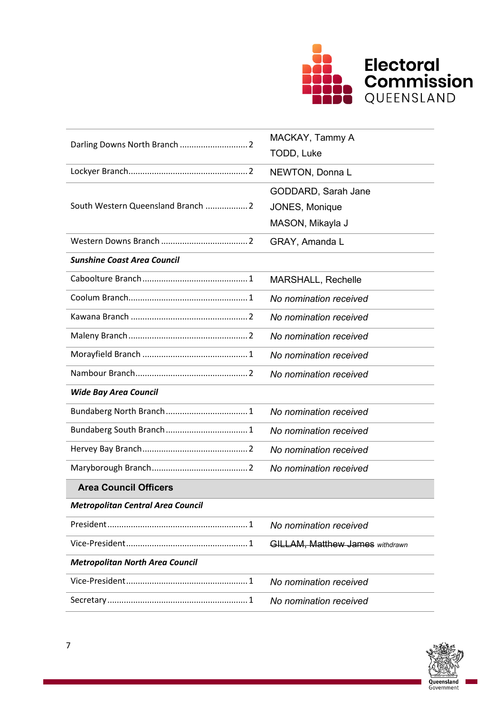

|                                          | MACKAY, Tammy A                        |  |  |
|------------------------------------------|----------------------------------------|--|--|
|                                          | TODD, Luke                             |  |  |
|                                          | NEWTON, Donna L                        |  |  |
|                                          | GODDARD, Sarah Jane                    |  |  |
| South Western Queensland Branch  2       | JONES, Monique                         |  |  |
|                                          | MASON, Mikayla J                       |  |  |
|                                          | GRAY, Amanda L                         |  |  |
| <b>Sunshine Coast Area Council</b>       |                                        |  |  |
|                                          | <b>MARSHALL, Rechelle</b>              |  |  |
|                                          | No nomination received                 |  |  |
|                                          | No nomination received                 |  |  |
|                                          | No nomination received                 |  |  |
|                                          | No nomination received                 |  |  |
|                                          | No nomination received                 |  |  |
| <b>Wide Bay Area Council</b>             |                                        |  |  |
|                                          | No nomination received                 |  |  |
|                                          | No nomination received                 |  |  |
|                                          | No nomination received                 |  |  |
|                                          | No nomination received                 |  |  |
| <b>Area Council Officers</b>             |                                        |  |  |
| <b>Metropolitan Central Area Council</b> |                                        |  |  |
|                                          | No nomination received                 |  |  |
|                                          | <b>GILLAM, Matthew James withdrawn</b> |  |  |
| <b>Metropolitan North Area Council</b>   |                                        |  |  |
|                                          | No nomination received                 |  |  |
|                                          | No nomination received                 |  |  |

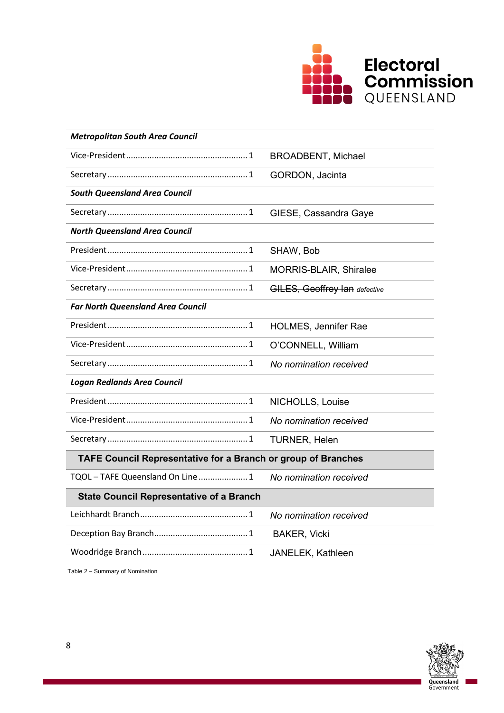

| <b>Metropolitan South Area Council</b>                               |                                      |  |  |
|----------------------------------------------------------------------|--------------------------------------|--|--|
|                                                                      | <b>BROADBENT, Michael</b>            |  |  |
|                                                                      | GORDON, Jacinta                      |  |  |
| <b>South Queensland Area Council</b>                                 |                                      |  |  |
|                                                                      | GIESE, Cassandra Gaye                |  |  |
| <b>North Queensland Area Council</b>                                 |                                      |  |  |
|                                                                      | SHAW, Bob                            |  |  |
|                                                                      | MORRIS-BLAIR, Shiralee               |  |  |
|                                                                      | <b>GILES, Geoffrey Ian defective</b> |  |  |
| <b>Far North Queensland Area Council</b>                             |                                      |  |  |
|                                                                      | <b>HOLMES, Jennifer Rae</b>          |  |  |
|                                                                      | O'CONNELL, William                   |  |  |
|                                                                      | No nomination received               |  |  |
| <b>Logan Redlands Area Council</b>                                   |                                      |  |  |
|                                                                      | NICHOLLS, Louise                     |  |  |
|                                                                      | No nomination received               |  |  |
|                                                                      | <b>TURNER, Helen</b>                 |  |  |
| <b>TAFE Council Representative for a Branch or group of Branches</b> |                                      |  |  |
| TQOL - TAFE Queensland On Line  1                                    | No nomination received               |  |  |
| <b>State Council Representative of a Branch</b>                      |                                      |  |  |
|                                                                      | No nomination received               |  |  |
|                                                                      | <b>BAKER, Vicki</b>                  |  |  |
|                                                                      | JANELEK, Kathleen                    |  |  |

Table 2 – Summary of Nomination

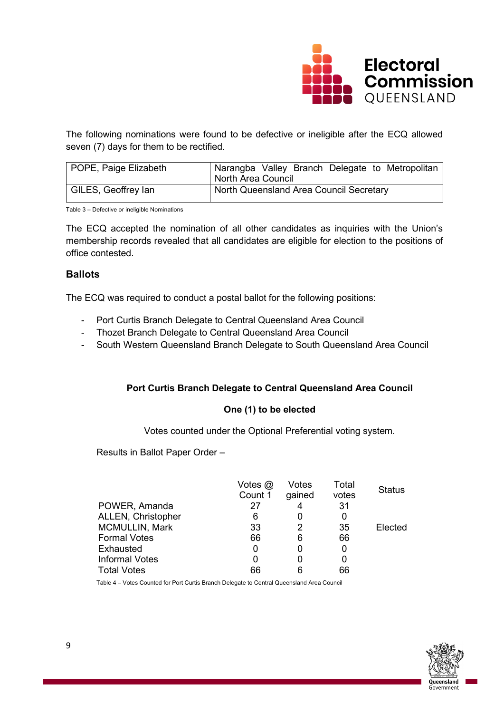

The following nominations were found to be defective or ineligible after the ECQ allowed seven (7) days for them to be rectified.

| POPE, Paige Elizabeth | I Narangba Valley Branch Delegate to Metropolitan<br>North Area Council |
|-----------------------|-------------------------------------------------------------------------|
| GILES, Geoffrey lan   | North Queensland Area Council Secretary                                 |

Table 3 – Defective or ineligible Nominations

The ECQ accepted the nomination of all other candidates as inquiries with the Union's membership records revealed that all candidates are eligible for election to the positions of office contested.

## **Ballots**

The ECQ was required to conduct a postal ballot for the following positions:

- Port Curtis Branch Delegate to Central Queensland Area Council
- Thozet Branch Delegate to Central Queensland Area Council
- South Western Queensland Branch Delegate to South Queensland Area Council

#### **Port Curtis Branch Delegate to Central Queensland Area Council**

#### **One (1) to be elected**

Votes counted under the Optional Preferential voting system.

Results in Ballot Paper Order –

|                       | Votes $@$<br>Count 1 | Votes<br>gained | Total<br>votes | <b>Status</b> |
|-----------------------|----------------------|-----------------|----------------|---------------|
| POWER, Amanda         | 27                   |                 | -31            |               |
| ALLEN, Christopher    | 6                    |                 |                |               |
| <b>MCMULLIN, Mark</b> | 33                   |                 | 35             | Elected       |
| <b>Formal Votes</b>   | 66                   | 6               | 66             |               |
| Exhausted             | 0                    |                 |                |               |
| <b>Informal Votes</b> | 0                    |                 |                |               |
| <b>Total Votes</b>    | 66                   |                 | 66             |               |

Table 4 – Votes Counted for Port Curtis Branch Delegate to Central Queensland Area Council

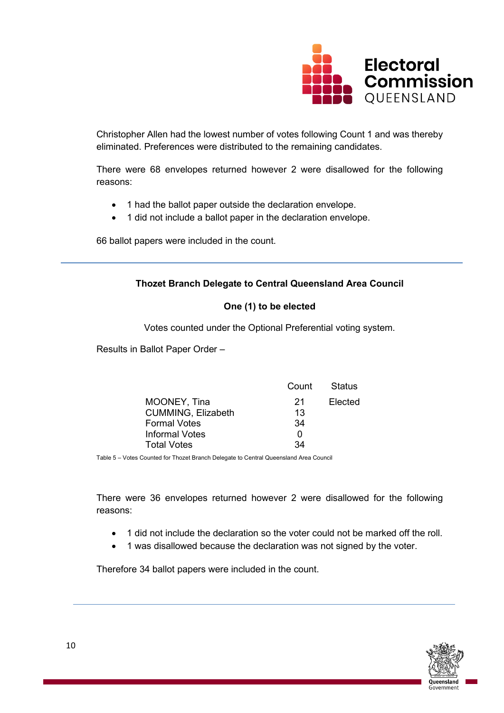

Christopher Allen had the lowest number of votes following Count 1 and was thereby eliminated. Preferences were distributed to the remaining candidates.

There were 68 envelopes returned however 2 were disallowed for the following reasons:

- 1 had the ballot paper outside the declaration envelope.
- 1 did not include a ballot paper in the declaration envelope.

66 ballot papers were included in the count.

## **Thozet Branch Delegate to Central Queensland Area Council**

## **One (1) to be elected**

Votes counted under the Optional Preferential voting system.

Results in Ballot Paper Order –

|                           | Count | Status  |
|---------------------------|-------|---------|
| MOONEY, Tina              | 21    | Elected |
| <b>CUMMING, Elizabeth</b> | 13    |         |
| <b>Formal Votes</b>       | 34    |         |
| Informal Votes            | O     |         |
| <b>Total Votes</b>        | 34    |         |

Table 5 – Votes Counted for Thozet Branch Delegate to Central Queensland Area Council

There were 36 envelopes returned however 2 were disallowed for the following reasons:

- 1 did not include the declaration so the voter could not be marked off the roll.
- 1 was disallowed because the declaration was not signed by the voter.

Therefore 34 ballot papers were included in the count.

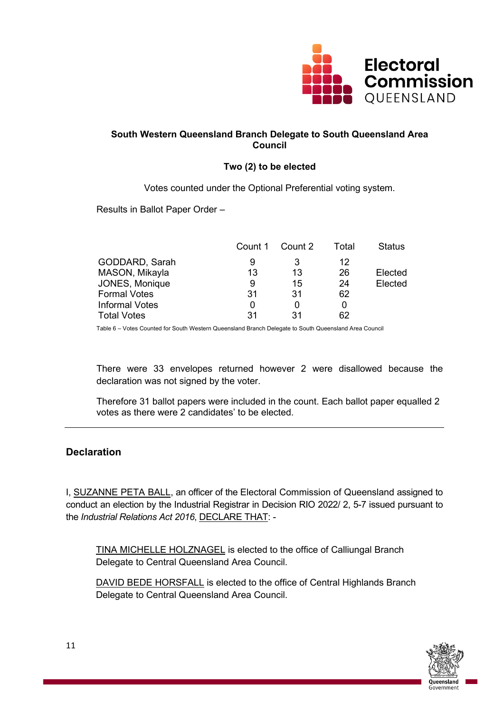

## **South Western Queensland Branch Delegate to South Queensland Area Council**

# **Two (2) to be elected**

Votes counted under the Optional Preferential voting system.

Results in Ballot Paper Order –

|                       | Count 1 | Count 2 | Total | <b>Status</b> |
|-----------------------|---------|---------|-------|---------------|
| GODDARD, Sarah        | 9       | 3       | 12    |               |
| MASON, Mikayla        | 13      | 13      | 26    | Elected       |
| <b>JONES, Monique</b> | 9       | 15      | 24    | Elected       |
| <b>Formal Votes</b>   | 31      | -31     | 62    |               |
| Informal Votes        |         |         |       |               |
| Total Votes           | 31      | 31      | 62    |               |

Table 6 – Votes Counted for South Western Queensland Branch Delegate to South Queensland Area Council

There were 33 envelopes returned however 2 were disallowed because the declaration was not signed by the voter.

Therefore 31 ballot papers were included in the count. Each ballot paper equalled 2 votes as there were 2 candidates' to be elected.

# **Declaration**

I, SUZANNE PETA BALL, an officer of the Electoral Commission of Queensland assigned to conduct an election by the Industrial Registrar in Decision RIO 2022/ 2, 5-7 issued pursuant to the *Industrial Relations Act 2016*, DECLARE THAT: -

TINA MICHELLE HOLZNAGEL is elected to the office of Calliungal Branch Delegate to Central Queensland Area Council.

DAVID BEDE HORSFALL is elected to the office of Central Highlands Branch Delegate to Central Queensland Area Council.

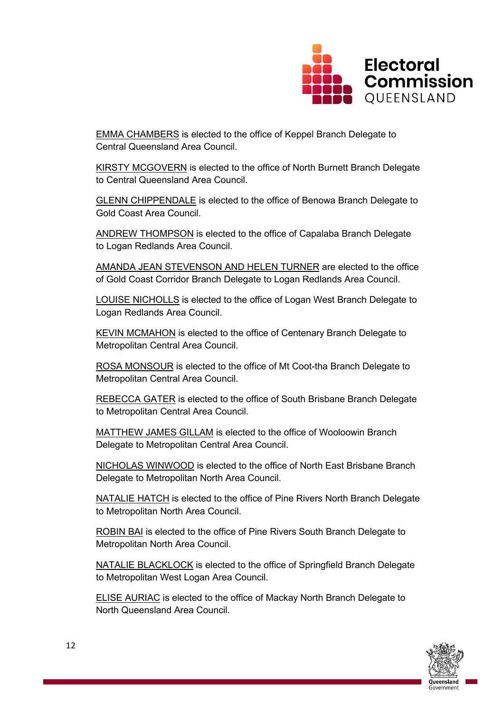

EMMA CHAMBERS is elected to the office of Keppel Branch Delegate to Central Queensland Area Council.

KIRSTY MCGOVERN is elected to the office of North Burnett Branch Delegate to Central Queensland Area Council.

GLENN CHIPPENDALE is elected to the office of Benowa Branch Delegate to Gold Coast Area Council.

ANDREW THOMPSON is elected to the office of Capalaba Branch Delegate to Logan Redlands Area Council.

AMANDA JEAN STEVENSON AND HELEN TURNER are elected to the office of Gold Coast Corridor Branch Delegate to Logan Redlands Area Council.

LOUISE NICHOLLS is elected to the office of Logan West Branch Delegate to Logan Redlands Area Council.

KEVIN MCMAHON is elected to the office of Centenary Branch Delegate to Metropolitan Central Area Council.

ROSA MONSOUR is elected to the office of Mt Coot-tha Branch Delegate to Metropolitan Central Area Council.

REBECCA GATER is elected to the office of South Brisbane Branch Delegate to Metropolitan Central Area Council.

MATTHEW JAMES GILLAM is elected to the office of Wooloowin Branch Delegate to Metropolitan Central Area Council.

NICHOLAS WINWOOD is elected to the office of North East Brisbane Branch Delegate to Metropolitan North Area Council.

NATALIE HATCH is elected to the office of Pine Rivers North Branch Delegate to Metropolitan North Area Council.

ROBIN BAI is elected to the office of Pine Rivers South Branch Delegate to Metropolitan North Area Council.

NATALIE BLACKLOCK is elected to the office of Springfield Branch Delegate to Metropolitan West Logan Area Council.

ELISE AURIAC is elected to the office of Mackay North Branch Delegate to North Queensland Area Council.

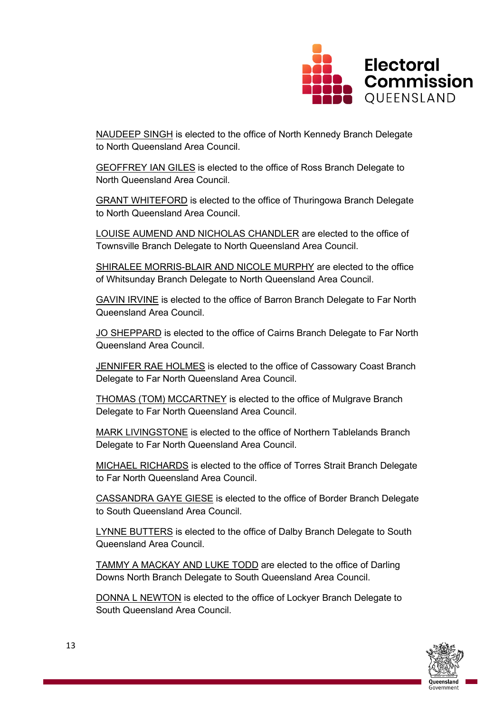

NAUDEEP SINGH is elected to the office of North Kennedy Branch Delegate to North Queensland Area Council.

GEOFFREY IAN GILES is elected to the office of Ross Branch Delegate to North Queensland Area Council.

GRANT WHITEFORD is elected to the office of Thuringowa Branch Delegate to North Queensland Area Council.

LOUISE AUMEND AND NICHOLAS CHANDLER are elected to the office of Townsville Branch Delegate to North Queensland Area Council.

SHIRALEE MORRIS-BLAIR AND NICOLE MURPHY are elected to the office of Whitsunday Branch Delegate to North Queensland Area Council.

GAVIN IRVINE is elected to the office of Barron Branch Delegate to Far North Queensland Area Council.

JO SHEPPARD is elected to the office of Cairns Branch Delegate to Far North Queensland Area Council.

JENNIFER RAE HOLMES is elected to the office of Cassowary Coast Branch Delegate to Far North Queensland Area Council.

THOMAS (TOM) MCCARTNEY is elected to the office of Mulgrave Branch Delegate to Far North Queensland Area Council.

MARK LIVINGSTONE is elected to the office of Northern Tablelands Branch Delegate to Far North Queensland Area Council.

MICHAEL RICHARDS is elected to the office of Torres Strait Branch Delegate to Far North Queensland Area Council.

CASSANDRA GAYE GIESE is elected to the office of Border Branch Delegate to South Queensland Area Council.

**LYNNE BUTTERS** is elected to the office of Dalby Branch Delegate to South Queensland Area Council.

TAMMY A MACKAY AND LUKE TODD are elected to the office of Darling Downs North Branch Delegate to South Queensland Area Council.

DONNA L NEWTON is elected to the office of Lockyer Branch Delegate to South Queensland Area Council.

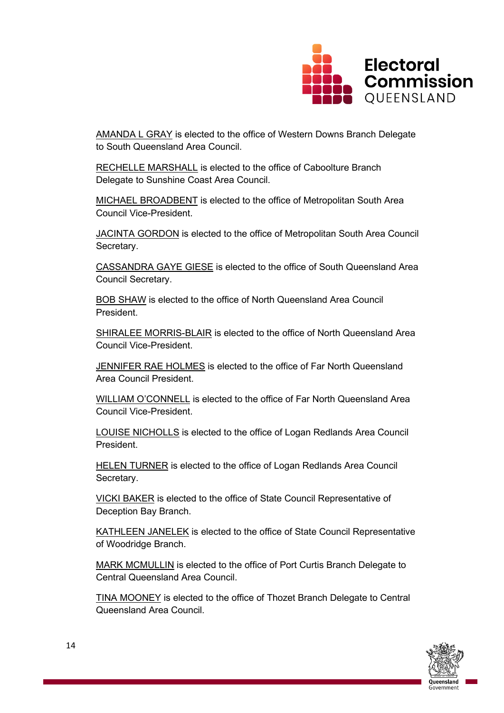

AMANDA L GRAY is elected to the office of Western Downs Branch Delegate to South Queensland Area Council.

RECHELLE MARSHALL is elected to the office of Caboolture Branch Delegate to Sunshine Coast Area Council.

MICHAEL BROADBENT is elected to the office of Metropolitan South Area Council Vice-President.

JACINTA GORDON is elected to the office of Metropolitan South Area Council Secretary.

CASSANDRA GAYE GIESE is elected to the office of South Queensland Area Council Secretary.

**BOB SHAW** is elected to the office of North Queensland Area Council President.

SHIRALEE MORRIS-BLAIR is elected to the office of North Queensland Area Council Vice-President.

JENNIFER RAE HOLMES is elected to the office of Far North Queensland Area Council President.

WILLIAM O'CONNELL is elected to the office of Far North Queensland Area Council Vice-President.

LOUISE NICHOLLS is elected to the office of Logan Redlands Area Council President.

HELEN TURNER is elected to the office of Logan Redlands Area Council Secretary.

VICKI BAKER is elected to the office of State Council Representative of Deception Bay Branch.

KATHLEEN JANELEK is elected to the office of State Council Representative of Woodridge Branch.

MARK MCMULLIN is elected to the office of Port Curtis Branch Delegate to Central Queensland Area Council.

TINA MOONEY is elected to the office of Thozet Branch Delegate to Central Queensland Area Council.